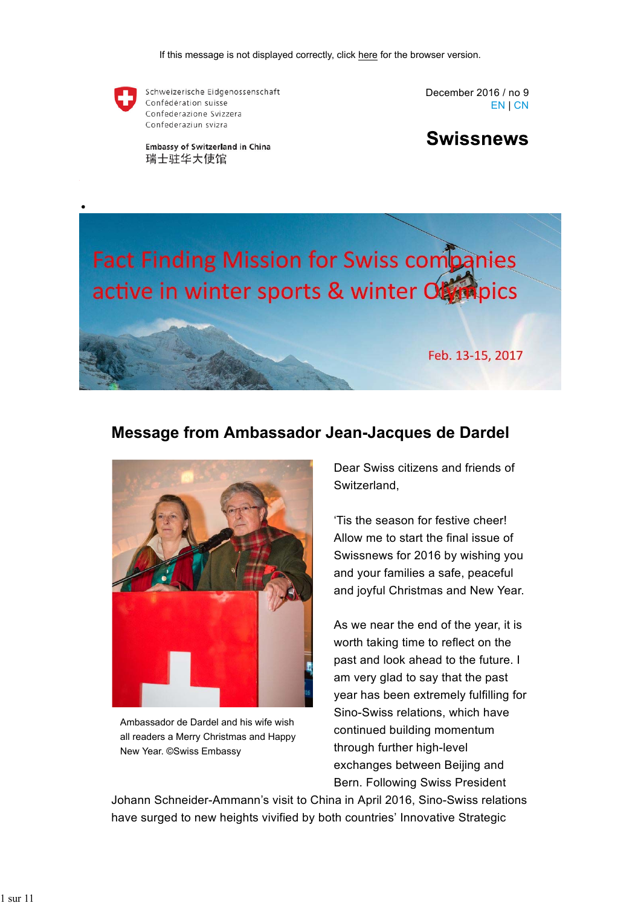

Schweizerische Eidgenossenschaft Confédération suisse Confederazione Svizzera Confederaziun svizra

**Embassy of Switzerland in China** 瑞士驻华大使馆

December 2016 / no 9 EN | CN

**Swissnews** 

# **Fact Finding Mission for Swiss companies** active in winter sports & winter Objetiques

Feb. 13-15, 2017

### **Message from Ambassador Jean-Jacques de Dardel**



Ambassador de Dardel and his wife wish all readers a Merry Christmas and Happy New Year. ©Swiss Embassy

Dear Swiss citizens and friends of Switzerland,

'Tis the season for festive cheer! Allow me to start the final issue of Swissnews for 2016 by wishing you and your families a safe, peaceful and joyful Christmas and New Year.

As we near the end of the year, it is worth taking time to reflect on the past and look ahead to the future. I am very glad to say that the past year has been extremely fulfilling for Sino-Swiss relations, which have continued building momentum through further high-level exchanges between Beijing and Bern. Following Swiss President

Johann Schneider-Ammann's visit to China in April 2016, Sino-Swiss relations have surged to new heights vivified by both countries' Innovative Strategic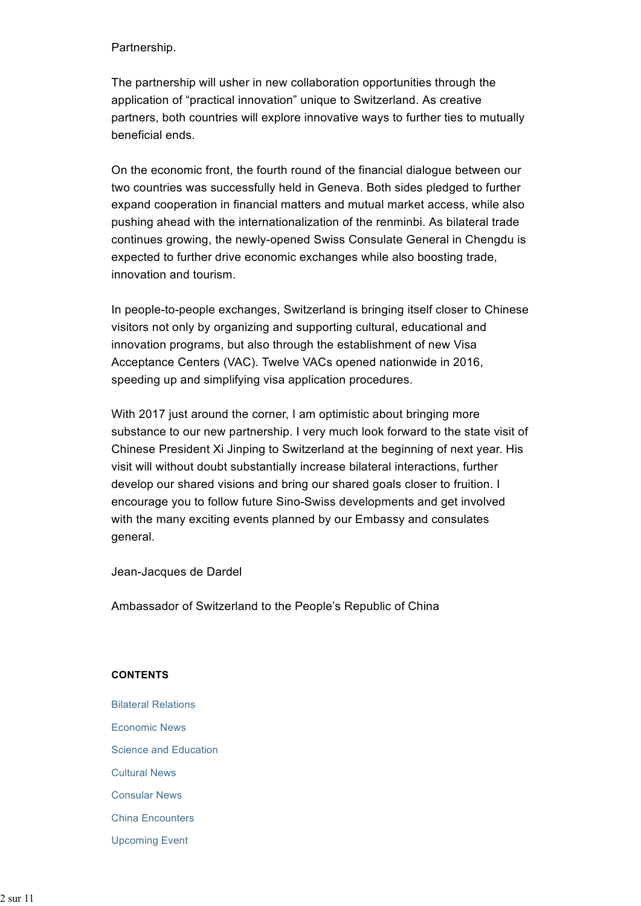Partnership.

The partnership will usher in new collaboration opportunities through the application of "practical innovation" unique to Switzerland. As creative partners, both countries will explore innovative ways to further ties to mutually beneficial ends.

On the economic front, the fourth round of the financial dialogue between our two countries was successfully held in Geneva. Both sides pledged to further expand cooperation in financial matters and mutual market access, while also pushing ahead with the internationalization of the renminbi. As bilateral trade continues growing, the newly-opened Swiss Consulate General in Chengdu is expected to further drive economic exchanges while also boosting trade, innovation and tourism.

In people-to-people exchanges, Switzerland is bringing itself closer to Chinese visitors not only by organizing and supporting cultural, educational and innovation programs, but also through the establishment of new Visa Acceptance Centers (VAC). Twelve VACs opened nationwide in 2016, speeding up and simplifying visa application procedures.

With 2017 just around the corner, I am optimistic about bringing more substance to our new partnership. I very much look forward to the state visit of Chinese President Xi Jinping to Switzerland at the beginning of next year. His visit will without doubt substantially increase bilateral interactions, further develop our shared visions and bring our shared goals closer to fruition. I encourage you to follow future Sino-Swiss developments and get involved with the many exciting events planned by our Embassy and consulates general.

Jean-Jacques de Dardel

Ambassador of Switzerland to the People's Republic of China

#### **CONTENTS**

- Bilateral Relations Economic News Science and Education Cultural News
- Consular News
- China Encounters
- Upcoming Event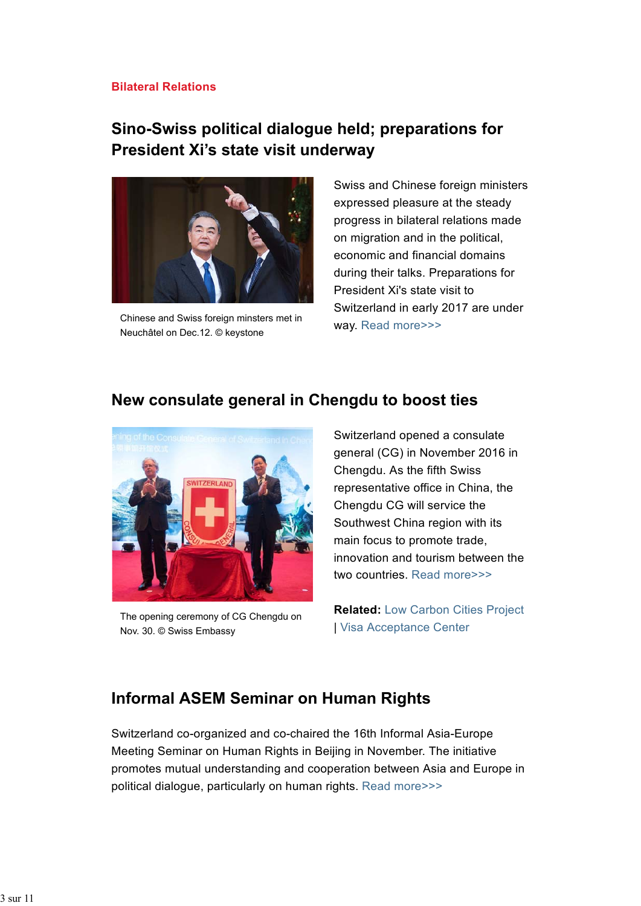#### **Bilateral Relations**

# **Sino-Swiss political dialogue held; preparations for President Xi's state visit underway**



Chinese and Swiss foreign minsters met in Neuchâtel on Dec.12. © keystone

Swiss and Chinese foreign ministers expressed pleasure at the steady progress in bilateral relations made on migration and in the political, economic and financial domains during their talks. Preparations for President Xi's state visit to Switzerland in early 2017 are under way. Read more>>>

# **New consulate general in Chengdu to boost ties**



The opening ceremony of CG Chengdu on Nov. 30. © Swiss Embassy

Switzerland opened a consulate general (CG) in November 2016 in Chengdu. As the fifth Swiss representative office in China, the Chengdu CG will service the Southwest China region with its main focus to promote trade, innovation and tourism between the two countries. Read more>>>

**Related:** Low Carbon Cities Project | Visa Acceptance Center

# **Informal ASEM Seminar on Human Rights**

Switzerland co-organized and co-chaired the 16th Informal Asia-Europe Meeting Seminar on Human Rights in Beijing in November. The initiative promotes mutual understanding and cooperation between Asia and Europe in political dialogue, particularly on human rights. Read more>>>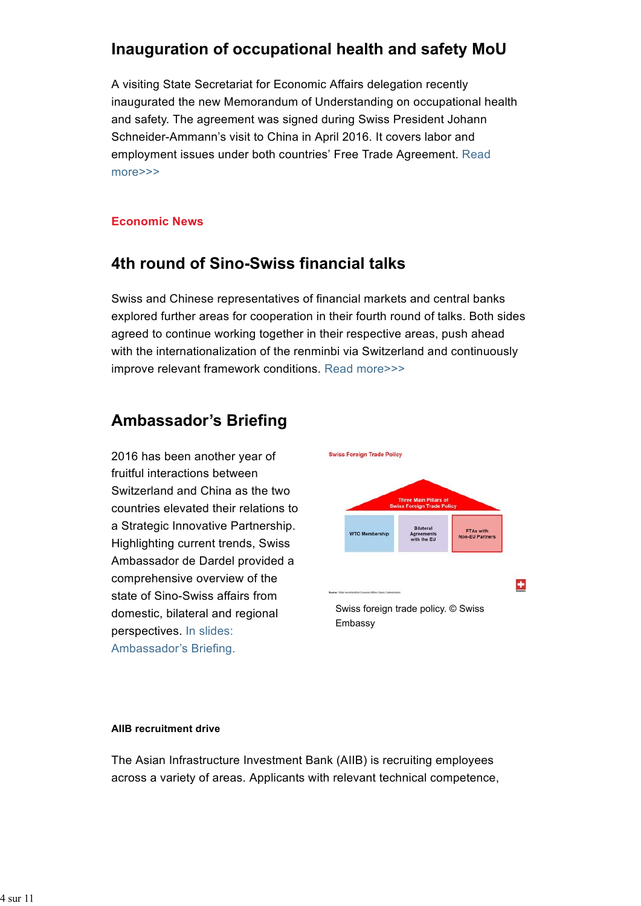# **Inauguration of occupational health and safety MoU**

A visiting State Secretariat for Economic Affairs delegation recently inaugurated the new Memorandum of Understanding on occupational health and safety. The agreement was signed during Swiss President Johann Schneider-Ammann's visit to China in April 2016. It covers labor and employment issues under both countries' Free Trade Agreement. Read more>>>

#### **Economic News**

# **4th round of Sino-Swiss financial talks**

Swiss and Chinese representatives of financial markets and central banks explored further areas for cooperation in their fourth round of talks. Both sides agreed to continue working together in their respective areas, push ahead with the internationalization of the renminbi via Switzerland and continuously improve relevant framework conditions. Read more>>>

# **Ambassador's Briefing**

2016 has been another year of fruitful interactions between Switzerland and China as the two countries elevated their relations to a Strategic Innovative Partnership. Highlighting current trends, Swiss Ambassador de Dardel provided a comprehensive overview of the state of Sino-Swiss affairs from domestic, bilateral and regional perspectives. In slides: Ambassador's Briefing.



#### **AIIB recruitment drive**

The Asian Infrastructure Investment Bank (AIIB) is recruiting employees across a variety of areas. Applicants with relevant technical competence,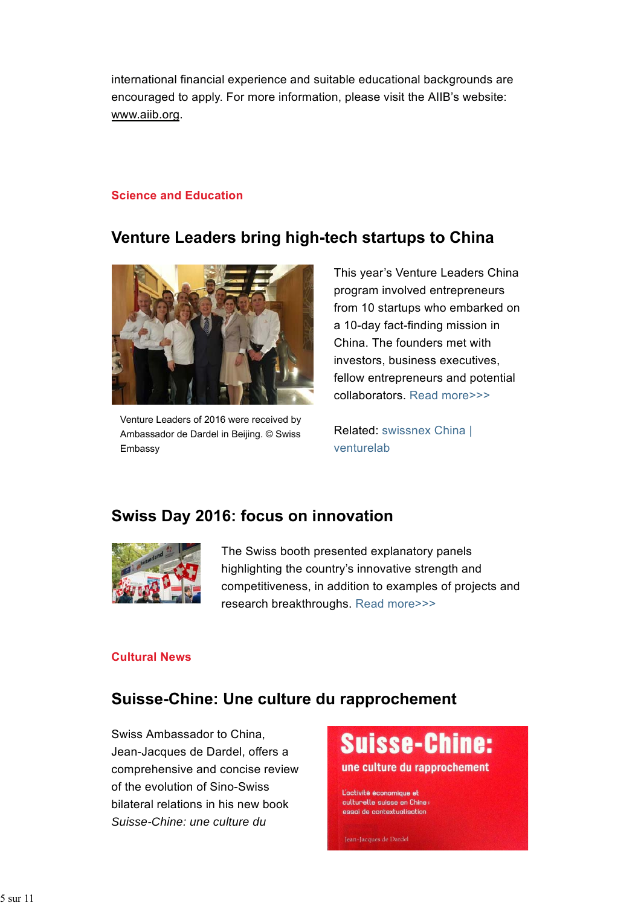international financial experience and suitable educational backgrounds are encouraged to apply. For more information, please visit the AIIB's website: www.aiib.org.

#### **Science and Education**

# **Venture Leaders bring high-tech startups to China**



Venture Leaders of 2016 were received by Ambassador de Dardel in Beijing. © Swiss Embassy

This year's Venture Leaders China program involved entrepreneurs from 10 startups who embarked on a 10-day fact-finding mission in China. The founders met with investors, business executives, fellow entrepreneurs and potential collaborators. Read more>>>

Related: swissnex China | venturelab

# **Swiss Day 2016: focus on innovation**



The Swiss booth presented explanatory panels highlighting the country's innovative strength and competitiveness, in addition to examples of projects and research breakthroughs. Read more>>>

#### **Cultural News**

# **Suisse-Chine: Une culture du rapprochement**

Swiss Ambassador to China, Jean-Jacques de Dardel, offers a comprehensive and concise review of the evolution of Sino-Swiss bilateral relations in his new book *Suisse-Chine: une culture du*



culturelle suisse en Chine essai de contextualisation

Jean-Jacques de Dardel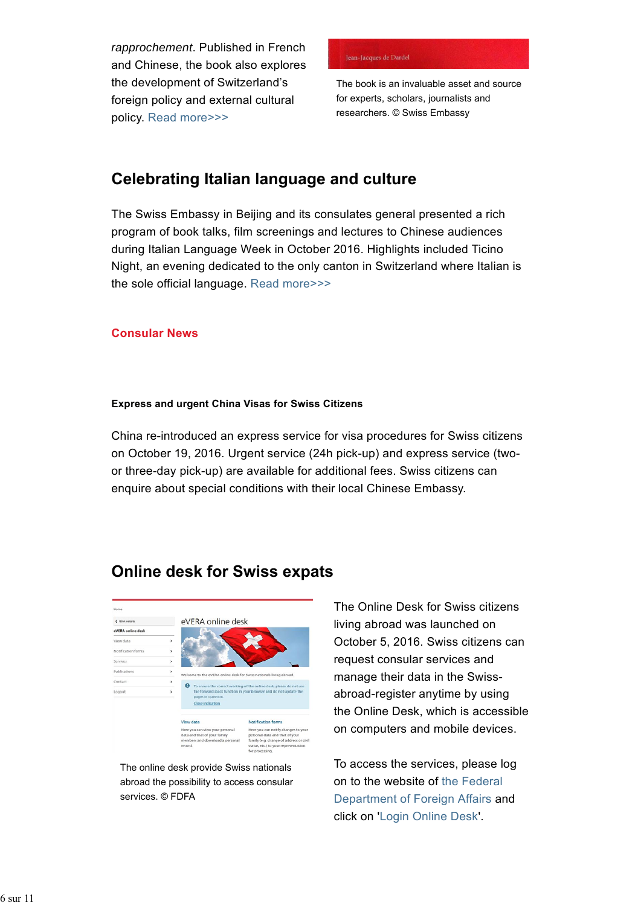*rapprochement*. Published in French and Chinese, the book also explores the development of Switzerland's foreign policy and external cultural policy. Read more>>>

#### Jean-Jacques de Dardel

The book is an invaluable asset and source for experts, scholars, journalists and researchers. © Swiss Embassy

# **Celebrating Italian language and culture**

The Swiss Embassy in Beijing and its consulates general presented a rich program of book talks, film screenings and lectures to Chinese audiences during Italian Language Week in October 2016. Highlights included Ticino Night, an evening dedicated to the only canton in Switzerland where Italian is the sole official language. Read more>>>

#### **Consular News**

#### **Express and urgent China Visas for Swiss Citizens**

China re-introduced an express service for visa procedures for Swiss citizens on October 19, 2016. Urgent service (24h pick-up) and express service (twoor three-day pick-up) are available for additional fees. Swiss citizens can enquire about special conditions with their local Chinese Embassy.

# **Online desk for Swiss expats**



The online desk provide Swiss nationals abroad the possibility to access consular services. © FDFA

The Online Desk for Swiss citizens living abroad was launched on October 5, 2016. Swiss citizens can request consular services and manage their data in the Swissabroad-register anytime by using the Online Desk, which is accessible on computers and mobile devices.

To access the services, please log on to the website of the Federal Department of Foreign Affairs and click on 'Login Online Desk'.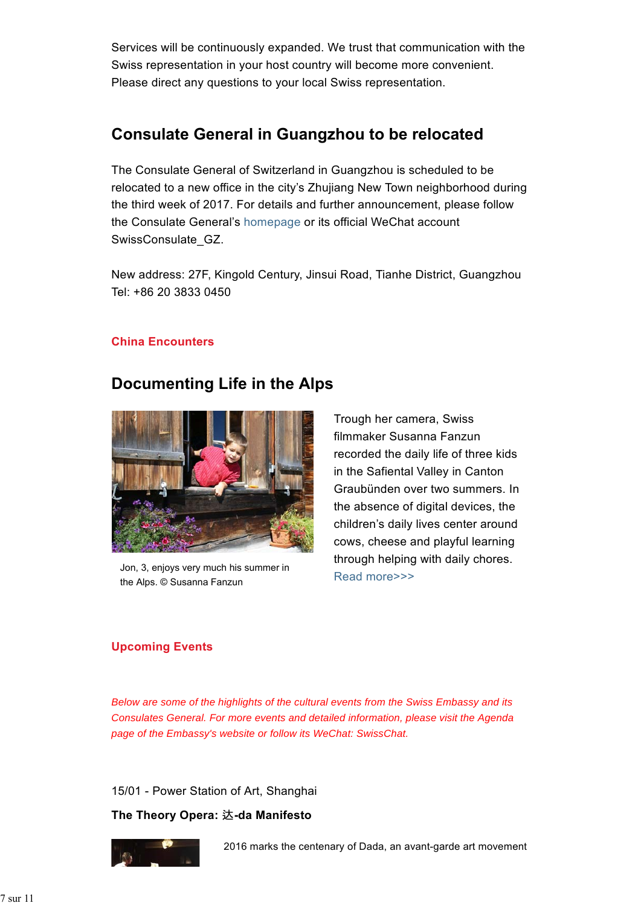Services will be continuously expanded. We trust that communication with the Swiss representation in your host country will become more convenient. Please direct any questions to your local Swiss representation.

# **Consulate General in Guangzhou to be relocated**

The Consulate General of Switzerland in Guangzhou is scheduled to be relocated to a new office in the city's Zhujiang New Town neighborhood during the third week of 2017. For details and further announcement, please follow the Consulate General's homepage or its official WeChat account SwissConsulate\_GZ.

New address: 27F, Kingold Century, Jinsui Road, Tianhe District, Guangzhou Tel: +86 20 3833 0450

#### **China Encounters**

### **Documenting Life in the Alps**



Jon, 3, enjoys very much his summer in the Alps. © Susanna Fanzun

Trough her camera, Swiss filmmaker Susanna Fanzun recorded the daily life of three kids in the Safiental Valley in Canton Graubünden over two summers. In the absence of digital devices, the children's daily lives center around cows, cheese and playful learning through helping with daily chores. Read more>>>

#### **Upcoming Events**

*Below are some of the highlights of the cultural events from the Swiss Embassy and its Consulates General. For more events and detailed information, please visit the Agenda page of the Embassy's website or follow its WeChat: SwissChat.*

15/01 - Power Station of Art, Shanghai

#### **The Theory Opera:** 达**-da Manifesto**



2016 marks the centenary of Dada, an avant-garde art movement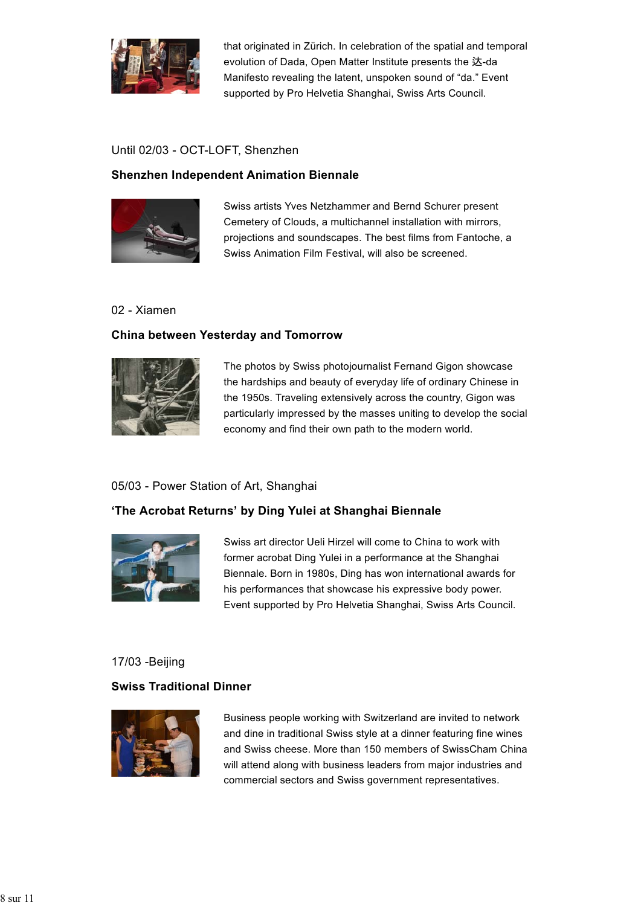

that originated in Zürich. In celebration of the spatial and temporal evolution of Dada, Open Matter Institute presents the 达-da Manifesto revealing the latent, unspoken sound of "da." Event supported by Pro Helvetia Shanghai, Swiss Arts Council.

#### Until 02/03 - OCT-LOFT, Shenzhen

#### **Shenzhen Independent Animation Biennale**



Swiss artists Yves Netzhammer and Bernd Schurer present Cemetery of Clouds, a multichannel installation with mirrors, projections and soundscapes. The best films from Fantoche, a Swiss Animation Film Festival, will also be screened.

#### 02 - Xiamen

#### **China between Yesterday and Tomorrow**



The photos by Swiss photojournalist Fernand Gigon showcase the hardships and beauty of everyday life of ordinary Chinese in the 1950s. Traveling extensively across the country, Gigon was particularly impressed by the masses uniting to develop the social economy and find their own path to the modern world.

#### 05/03 - Power Station of Art, Shanghai

#### **'The Acrobat Returns' by Ding Yulei at Shanghai Biennale**



Swiss art director Ueli Hirzel will come to China to work with former acrobat Ding Yulei in a performance at the Shanghai Biennale. Born in 1980s, Ding has won international awards for his performances that showcase his expressive body power. Event supported by Pro Helvetia Shanghai, Swiss Arts Council.

#### 17/03 -Beijing

#### **Swiss Traditional Dinner**



Business people working with Switzerland are invited to network and dine in traditional Swiss style at a dinner featuring fine wines and Swiss cheese. More than 150 members of SwissCham China will attend along with business leaders from major industries and commercial sectors and Swiss government representatives.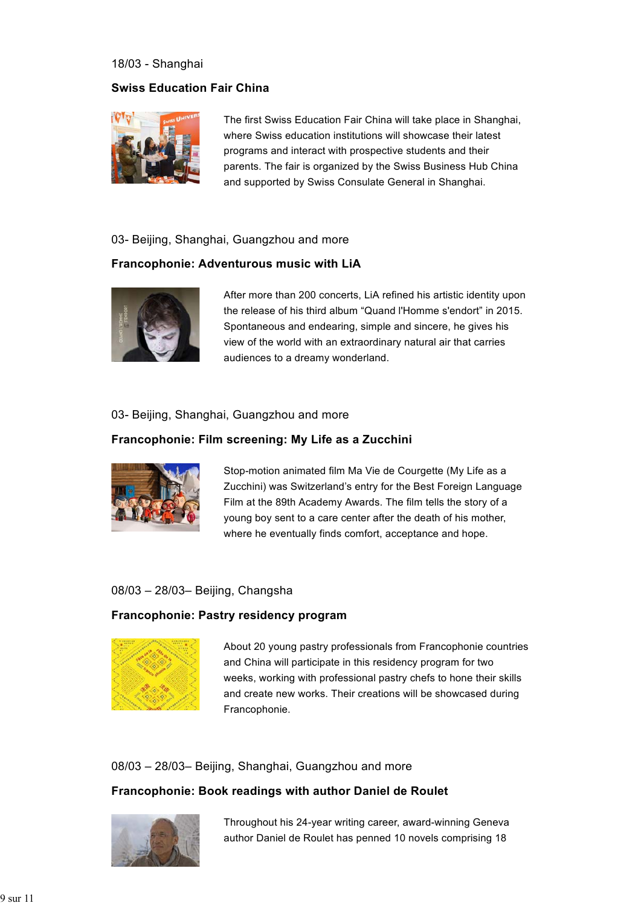#### 18/03 - Shanghai

#### **Swiss Education Fair China**



The first Swiss Education Fair China will take place in Shanghai, where Swiss education institutions will showcase their latest programs and interact with prospective students and their parents. The fair is organized by the Swiss Business Hub China and supported by Swiss Consulate General in Shanghai.

#### 03- Beijing, Shanghai, Guangzhou and more

#### **Francophonie: Adventurous music with LiA**



After more than 200 concerts, LiA refined his artistic identity upon the release of his third album "Quand l'Homme s'endort" in 2015. Spontaneous and endearing, simple and sincere, he gives his view of the world with an extraordinary natural air that carries audiences to a dreamy wonderland.

#### 03- Beijing, Shanghai, Guangzhou and more

#### **Francophonie: Film screening: My Life as a Zucchini**



Stop-motion animated film Ma Vie de Courgette (My Life as a Zucchini) was Switzerland's entry for the Best Foreign Language Film at the 89th Academy Awards. The film tells the story of a young boy sent to a care center after the death of his mother, where he eventually finds comfort, acceptance and hope.

#### 08/03 – 28/03– Beijing, Changsha

#### **Francophonie: Pastry residency program**



About 20 young pastry professionals from Francophonie countries and China will participate in this residency program for two weeks, working with professional pastry chefs to hone their skills and create new works. Their creations will be showcased during Francophonie.

#### 08/03 – 28/03– Beijing, Shanghai, Guangzhou and more

#### **Francophonie: Book readings with author Daniel de Roulet**



Throughout his 24-year writing career, award-winning Geneva author Daniel de Roulet has penned 10 novels comprising 18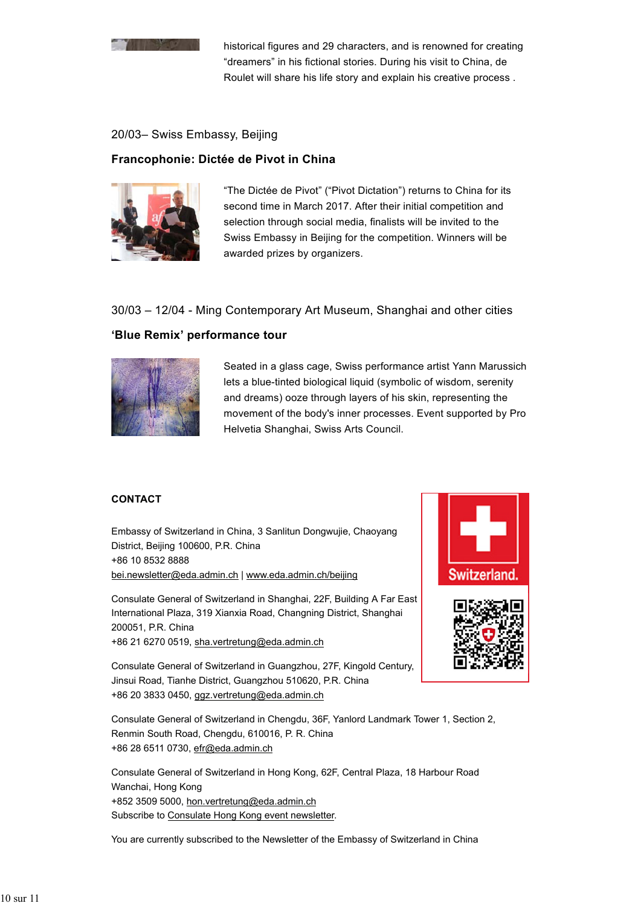

historical figures and 29 characters, and is renowned for creating "dreamers" in his fictional stories. During his visit to China, de Roulet will share his life story and explain his creative process .

#### 20/03– Swiss Embassy, Beijing

#### **Francophonie: Dictée de Pivot in China**



"The Dictée de Pivot" ("Pivot Dictation") returns to China for its second time in March 2017. After their initial competition and selection through social media, finalists will be invited to the Swiss Embassy in Beijing for the competition. Winners will be awarded prizes by organizers.

#### 30/03 – 12/04 - Ming Contemporary Art Museum, Shanghai and other cities

#### **'Blue Remix' performance tour**



Seated in a glass cage, Swiss performance artist Yann Marussich lets a blue-tinted biological liquid (symbolic of wisdom, serenity and dreams) ooze through layers of his skin, representing the movement of the body's inner processes. Event supported by Pro Helvetia Shanghai, Swiss Arts Council.

#### **CONTACT**

Embassy of Switzerland in China, 3 Sanlitun Dongwujie, Chaoyang District, Beijing 100600, P.R. China +86 10 8532 8888 bei.newsletter@eda.admin.ch | www.eda.admin.ch/beijing

Consulate General of Switzerland in Shanghai, 22F, Building A Far East International Plaza, 319 Xianxia Road, Changning District, Shanghai 200051, P.R. China +86 21 6270 0519, sha.vertretung@eda.admin.ch



Consulate General of Switzerland in Guangzhou, 27F, Kingold Century, Jinsui Road, Tianhe District, Guangzhou 510620, P.R. China +86 20 3833 0450, ggz.vertretung@eda.admin.ch

Consulate General of Switzerland in Chengdu, 36F, Yanlord Landmark Tower 1, Section 2, Renmin South Road, Chengdu, 610016, P. R. China +86 28 6511 0730, efr@eda.admin.ch

Consulate General of Switzerland in Hong Kong, 62F, Central Plaza, 18 Harbour Road Wanchai, Hong Kong +852 3509 5000, hon.vertretung@eda.admin.ch Subscribe to Consulate Hong Kong event newsletter.

You are currently subscribed to the Newsletter of the Embassy of Switzerland in China